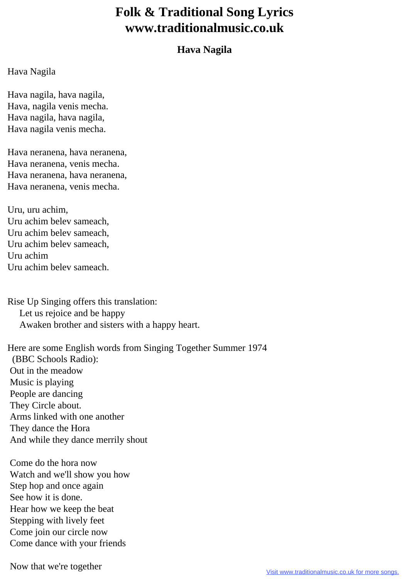## **Folk & Traditional Song Lyrics www.traditionalmusic.co.uk**

## **Hava Nagila**

## Hava Nagila

Hava nagila, hava nagila, Hava, nagila venis mecha. Hava nagila, hava nagila, Hava nagila venis mecha.

Hava neranena, hava neranena, Hava neranena, venis mecha. Hava neranena, hava neranena, Hava neranena, venis mecha.

Uru, uru achim, Uru achim belev sameach, Uru achim belev sameach, Uru achim belev sameach, Uru achim Uru achim belev sameach.

Rise Up Singing offers this translation: Let us rejoice and be happy Awaken brother and sisters with a happy heart.

Here are some English words from Singing Together Summer 1974 (BBC Schools Radio): Out in the meadow Music is playing People are dancing They Circle about. Arms linked with one another They dance the Hora And while they dance merrily shout

 Come do the hora now Watch and we'll show you how Step hop and once again See how it is done. Hear how we keep the beat Stepping with lively feet Come join our circle now Come dance with your friends

Now that we're together